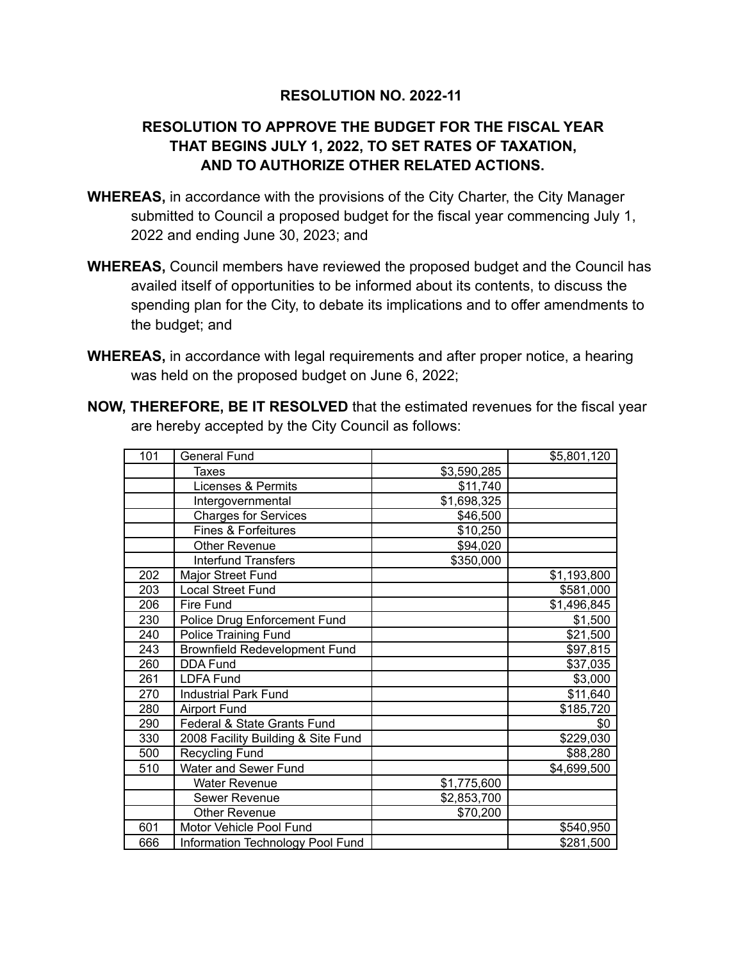## **RESOLUTION NO. 2022-11**

## **RESOLUTION TO APPROVE THE BUDGET FOR THE FISCAL YEAR THAT BEGINS JULY 1, 2022, TO SET RATES OF TAXATION, AND TO AUTHORIZE OTHER RELATED ACTIONS.**

- **WHEREAS,** in accordance with the provisions of the City Charter, the City Manager submitted to Council a proposed budget for the fiscal year commencing July 1, 2022 and ending June 30, 2023; and
- **WHEREAS,** Council members have reviewed the proposed budget and the Council has availed itself of opportunities to be informed about its contents, to discuss the spending plan for the City, to debate its implications and to offer amendments to the budget; and
- **WHEREAS,** in accordance with legal requirements and after proper notice, a hearing was held on the proposed budget on June 6, 2022;

|  |  | <b>NOW, THEREFORE, BE IT RESOLVED</b> that the estimated revenues for the fiscal year |  |  |
|--|--|---------------------------------------------------------------------------------------|--|--|
|  |  | are hereby accepted by the City Council as follows:                                   |  |  |

| 101 | <b>General Fund</b>                  |             | \$5,801,120 |
|-----|--------------------------------------|-------------|-------------|
|     | Taxes                                | \$3,590,285 |             |
|     | Licenses & Permits                   | \$11,740    |             |
|     | Intergovernmental                    | \$1,698,325 |             |
|     | <b>Charges for Services</b>          | \$46,500    |             |
|     | Fines & Forfeitures                  | \$10,250    |             |
|     | Other Revenue                        | \$94,020    |             |
|     | <b>Interfund Transfers</b>           | \$350,000   |             |
| 202 | Major Street Fund                    |             | \$1,193,800 |
| 203 | <b>Local Street Fund</b>             |             | \$581,000   |
| 206 | Fire Fund                            |             | \$1,496,845 |
| 230 | Police Drug Enforcement Fund         |             | \$1,500     |
| 240 | <b>Police Training Fund</b>          |             | \$21,500    |
| 243 | <b>Brownfield Redevelopment Fund</b> |             | \$97,815    |
| 260 | <b>DDA Fund</b>                      |             | \$37,035    |
| 261 | <b>LDFA Fund</b>                     |             | \$3,000     |
| 270 | <b>Industrial Park Fund</b>          |             | \$11,640    |
| 280 | <b>Airport Fund</b>                  |             | \$185,720   |
| 290 | Federal & State Grants Fund          |             | \$0         |
| 330 | 2008 Facility Building & Site Fund   |             | \$229,030   |
| 500 | Recycling Fund                       |             | \$88,280    |
| 510 | Water and Sewer Fund                 |             | \$4,699,500 |
|     | <b>Water Revenue</b>                 | \$1,775,600 |             |
|     | <b>Sewer Revenue</b>                 | \$2,853,700 |             |
|     | Other Revenue                        | \$70,200    |             |
| 601 | Motor Vehicle Pool Fund              |             | \$540,950   |
| 666 | Information Technology Pool Fund     |             | \$281,500   |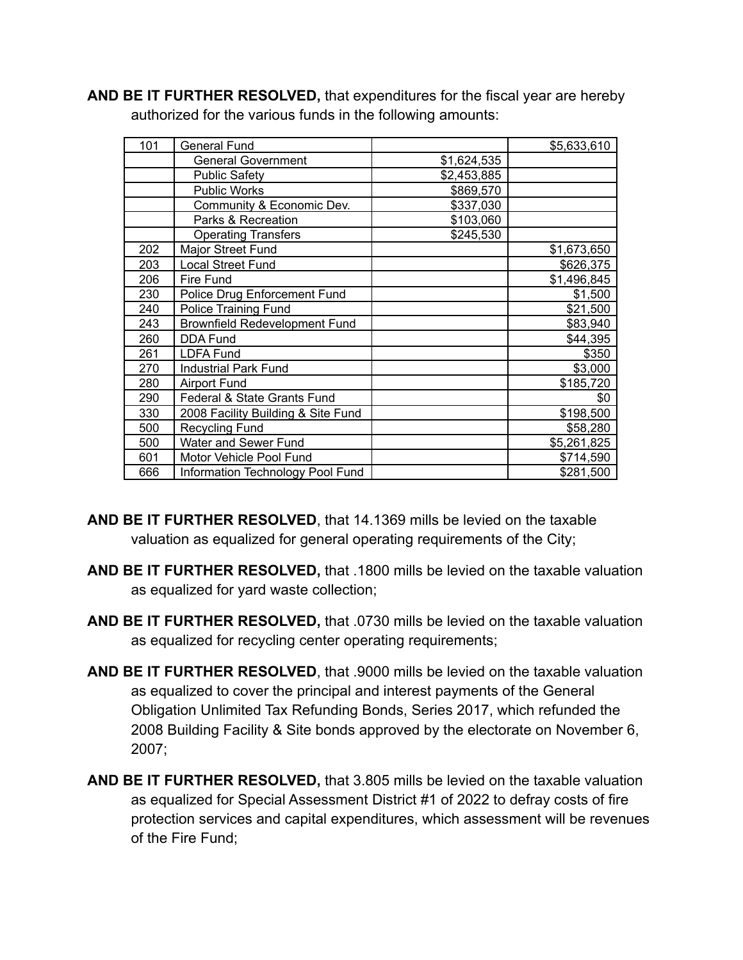**AND BE IT FURTHER RESOLVED,** that expenditures for the fiscal year are hereby authorized for the various funds in the following amounts:

| 101 | General Fund                         |             | \$5,633,610 |
|-----|--------------------------------------|-------------|-------------|
|     | <b>General Government</b>            | \$1,624,535 |             |
|     | <b>Public Safety</b>                 | \$2,453,885 |             |
|     | <b>Public Works</b>                  | \$869,570   |             |
|     | Community & Economic Dev.            | \$337,030   |             |
|     | Parks & Recreation                   | \$103,060   |             |
|     | <b>Operating Transfers</b>           | \$245,530   |             |
| 202 | <b>Major Street Fund</b>             |             | \$1,673,650 |
| 203 | Local Street Fund                    |             | \$626,375   |
| 206 | Fire Fund                            |             | \$1,496,845 |
| 230 | Police Drug Enforcement Fund         |             | \$1,500     |
| 240 | <b>Police Training Fund</b>          |             | \$21,500    |
| 243 | <b>Brownfield Redevelopment Fund</b> |             | \$83,940    |
| 260 | DDA Fund                             |             | \$44,395    |
| 261 | <b>LDFA Fund</b>                     |             | \$350       |
| 270 | <b>Industrial Park Fund</b>          |             | \$3,000     |
| 280 | <b>Airport Fund</b>                  |             | \$185,720   |
| 290 | Federal & State Grants Fund          |             | \$0         |
| 330 | 2008 Facility Building & Site Fund   |             | \$198,500   |
| 500 | Recycling Fund                       |             | \$58,280    |
| 500 | Water and Sewer Fund                 |             | \$5,261,825 |
| 601 | Motor Vehicle Pool Fund              |             | \$714,590   |
| 666 | Information Technology Pool Fund     |             | \$281,500   |

- **AND BE IT FURTHER RESOLVED**, that 14.1369 mills be levied on the taxable valuation as equalized for general operating requirements of the City;
- **AND BE IT FURTHER RESOLVED,** that .1800 mills be levied on the taxable valuation as equalized for yard waste collection;
- **AND BE IT FURTHER RESOLVED,** that .0730 mills be levied on the taxable valuation as equalized for recycling center operating requirements;
- **AND BE IT FURTHER RESOLVED**, that .9000 mills be levied on the taxable valuation as equalized to cover the principal and interest payments of the General Obligation Unlimited Tax Refunding Bonds, Series 2017, which refunded the 2008 Building Facility & Site bonds approved by the electorate on November 6, 2007;
- **AND BE IT FURTHER RESOLVED,** that 3.805 mills be levied on the taxable valuation as equalized for Special Assessment District #1 of 2022 to defray costs of fire protection services and capital expenditures, which assessment will be revenues of the Fire Fund;